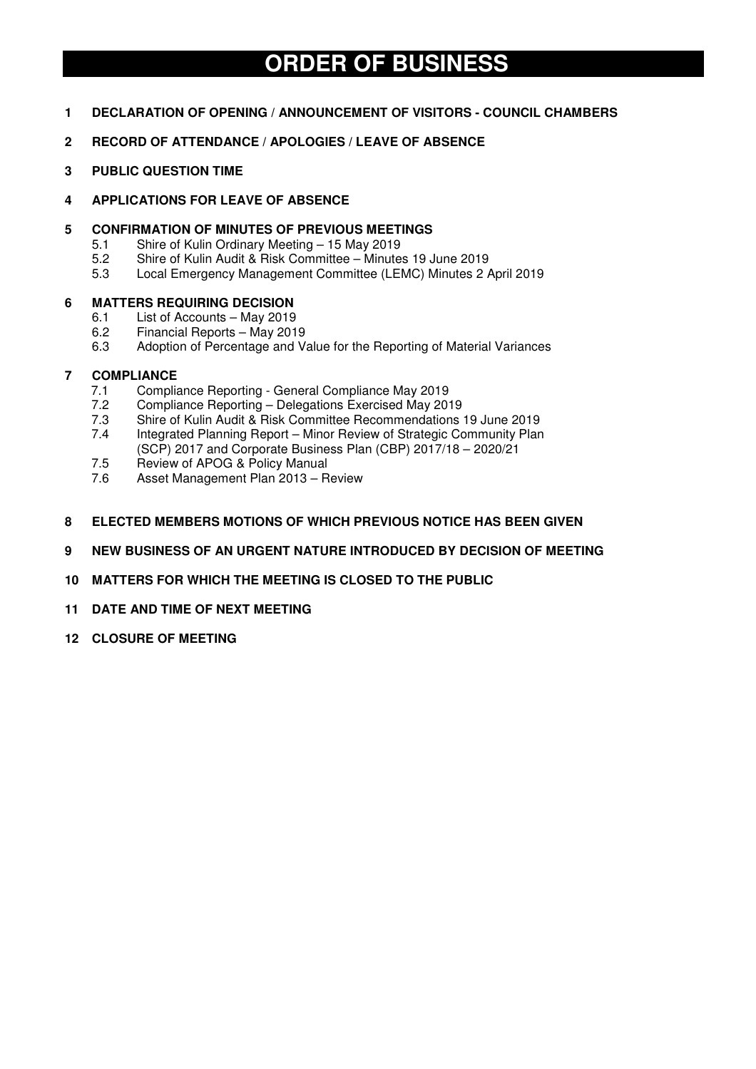# **ORDER OF BUSINESS**

- **1 DECLARATION OF OPENING / ANNOUNCEMENT OF VISITORS COUNCIL CHAMBERS**
- **2 RECORD OF ATTENDANCE / APOLOGIES / LEAVE OF ABSENCE**
- **3 PUBLIC QUESTION TIME**
- **4 APPLICATIONS FOR LEAVE OF ABSENCE**

## **5 CONFIRMATION OF MINUTES OF PREVIOUS MEETINGS**

- 5.1 Shire of Kulin Ordinary Meeting 15 May 2019
- 5.2 Shire of Kulin Audit & Risk Committee Minutes 19 June 2019
- 5.3 Local Emergency Management Committee (LEMC) Minutes 2 April 2019

## **6 MATTERS REQUIRING DECISION**

- 6.1 List of Accounts May 2019
- 6.2 Financial Reports May 2019
- 6.3 Adoption of Percentage and Value for the Reporting of Material Variances

# **7 COMPLIANCE**

- 7.1 Compliance Reporting General Compliance May 2019
- 7.2 Compliance Reporting Delegations Exercised May 2019
- 7.3 Shire of Kulin Audit & Risk Committee Recommendations 19 June 2019
- 7.4 Integrated Planning Report Minor Review of Strategic Community Plan
- (SCP) 2017 and Corporate Business Plan (CBP) 2017/18 2020/21
- 7.5 Review of APOG & Policy Manual<br>7.6 Asset Management Plan 2013 R Asset Management Plan 2013 – Review
- 
- **8 ELECTED MEMBERS MOTIONS OF WHICH PREVIOUS NOTICE HAS BEEN GIVEN**
- **9 NEW BUSINESS OF AN URGENT NATURE INTRODUCED BY DECISION OF MEETING**
- **10 MATTERS FOR WHICH THE MEETING IS CLOSED TO THE PUBLIC**
- **11 DATE AND TIME OF NEXT MEETING**
- **12 CLOSURE OF MEETING**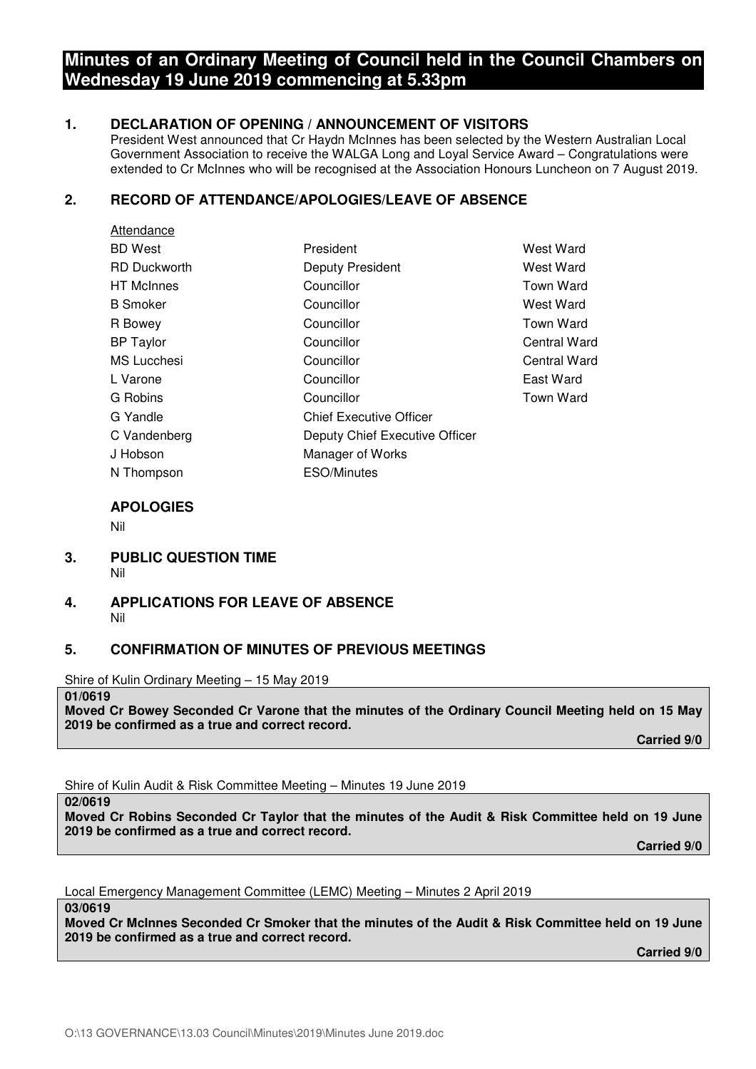# **Minutes of an Ordinary Meeting of Council held in the Council Chambers on Wednesday 19 June 2019 commencing at 5.33pm**

# **1. DECLARATION OF OPENING / ANNOUNCEMENT OF VISITORS**

President West announced that Cr Haydn McInnes has been selected by the Western Australian Local Government Association to receive the WALGA Long and Loyal Service Award – Congratulations were extended to Cr McInnes who will be recognised at the Association Honours Luncheon on 7 August 2019.

# **2. RECORD OF ATTENDANCE/APOLOGIES/LEAVE OF ABSENCE**

| Attendance          |                                |                  |
|---------------------|--------------------------------|------------------|
| <b>BD</b> West      | President                      | West Ward        |
| <b>RD Duckworth</b> | <b>Deputy President</b>        | West Ward        |
| <b>HT</b> McInnes   | Councillor                     | <b>Town Ward</b> |
| <b>B</b> Smoker     | Councillor                     | West Ward        |
| R Bowey             | Councillor                     | <b>Town Ward</b> |
| <b>BP</b> Taylor    | Councillor                     | Central Ward     |
| <b>MS</b> Lucchesi  | Councillor                     | Central Ward     |
| L Varone            | Councillor                     | East Ward        |
| G Robins            | Councillor                     | <b>Town Ward</b> |
| G Yandle            | <b>Chief Executive Officer</b> |                  |
| C Vandenberg        | Deputy Chief Executive Officer |                  |
| J Hobson            | Manager of Works               |                  |
| N Thompson          | <b>ESO/Minutes</b>             |                  |

# **APOLOGIES**

Nil

- **3. PUBLIC QUESTION TIME**  Nil
- **4. APPLICATIONS FOR LEAVE OF ABSENCE**  Nil

## **5. CONFIRMATION OF MINUTES OF PREVIOUS MEETINGS**

Shire of Kulin Ordinary Meeting – 15 May 2019

#### **01/0619**

**Moved Cr Bowey Seconded Cr Varone that the minutes of the Ordinary Council Meeting held on 15 May 2019 be confirmed as a true and correct record.** 

 **Carried 9/0** 

Shire of Kulin Audit & Risk Committee Meeting – Minutes 19 June 2019

**02/0619** 

**Moved Cr Robins Seconded Cr Taylor that the minutes of the Audit & Risk Committee held on 19 June 2019 be confirmed as a true and correct record.** 

 **Carried 9/0** 

Local Emergency Management Committee (LEMC) Meeting – Minutes 2 April 2019

**03/0619** 

**Moved Cr McInnes Seconded Cr Smoker that the minutes of the Audit & Risk Committee held on 19 June 2019 be confirmed as a true and correct record.** 

 **Carried 9/0**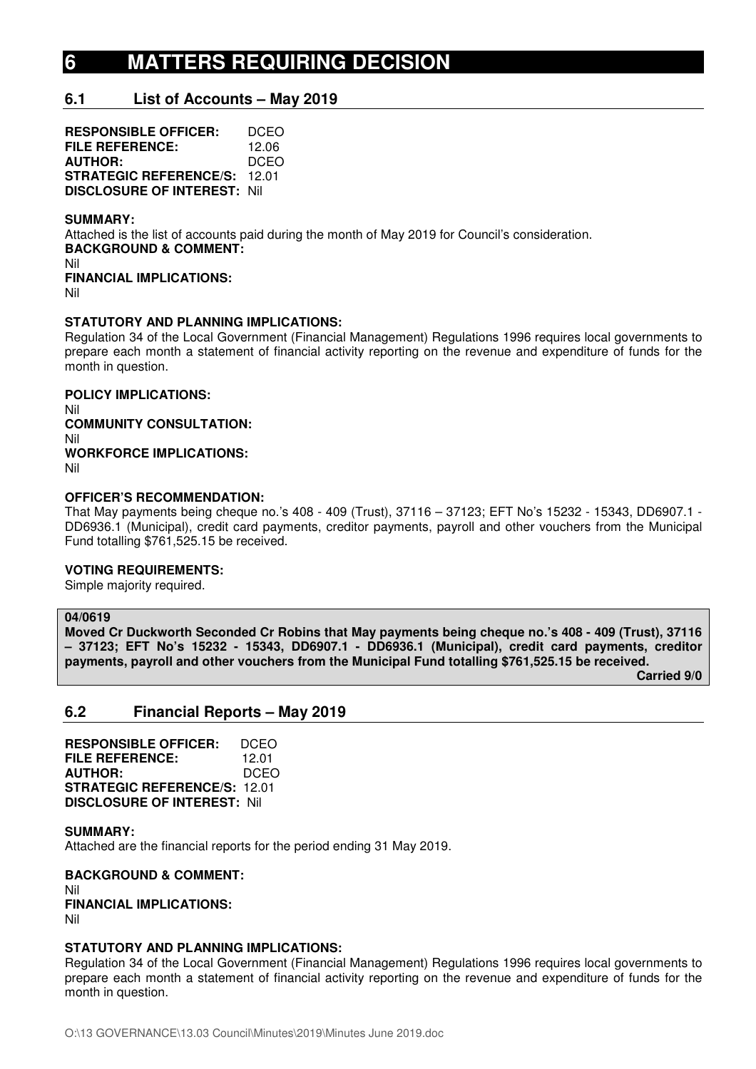# **6 MATTERS REQUIRING DECISION**

# **6.1 List of Accounts – May 2019**

**RESPONSIBLE OFFICER:** DCEO **FILE REFERENCE:** 12.06<br>**AUTHOR:** DCEO **AUTHOR: STRATEGIC REFERENCE/S:** 12.01 **DISCLOSURE OF INTEREST:** Nil

#### **SUMMARY:**

Attached is the list of accounts paid during the month of May 2019 for Council's consideration. **BACKGROUND & COMMENT:**  Nil

**FINANCIAL IMPLICATIONS:**  Nil

#### **STATUTORY AND PLANNING IMPLICATIONS:**

Regulation 34 of the Local Government (Financial Management) Regulations 1996 requires local governments to prepare each month a statement of financial activity reporting on the revenue and expenditure of funds for the month in question.

**POLICY IMPLICATIONS:**  Nil **COMMUNITY CONSULTATION:**  Nil **WORKFORCE IMPLICATIONS:**  Nil

#### **OFFICER'S RECOMMENDATION:**

That May payments being cheque no.'s 408 - 409 (Trust), 37116 – 37123; EFT No's 15232 - 15343, DD6907.1 - DD6936.1 (Municipal), credit card payments, creditor payments, payroll and other vouchers from the Municipal Fund totalling \$761,525.15 be received.

#### **VOTING REQUIREMENTS:**

Simple majority required.

#### **04/0619**

**Moved Cr Duckworth Seconded Cr Robins that May payments being cheque no.'s 408 - 409 (Trust), 37116 – 37123; EFT No's 15232 - 15343, DD6907.1 - DD6936.1 (Municipal), credit card payments, creditor payments, payroll and other vouchers from the Municipal Fund totalling \$761,525.15 be received.** 

 **Carried 9/0** 

# **6.2 Financial Reports – May 2019**

**RESPONSIBLE OFFICER:** DCEO **FILE REFERENCE:** 12.01 **AUTHOR:** DCEO **STRATEGIC REFERENCE/S:** 12.01 **DISCLOSURE OF INTEREST:** Nil

**SUMMARY:**  Attached are the financial reports for the period ending 31 May 2019.

**BACKGROUND & COMMENT:**  Nil **FINANCIAL IMPLICATIONS:**  Nil

#### **STATUTORY AND PLANNING IMPLICATIONS:**

Regulation 34 of the Local Government (Financial Management) Regulations 1996 requires local governments to prepare each month a statement of financial activity reporting on the revenue and expenditure of funds for the month in question.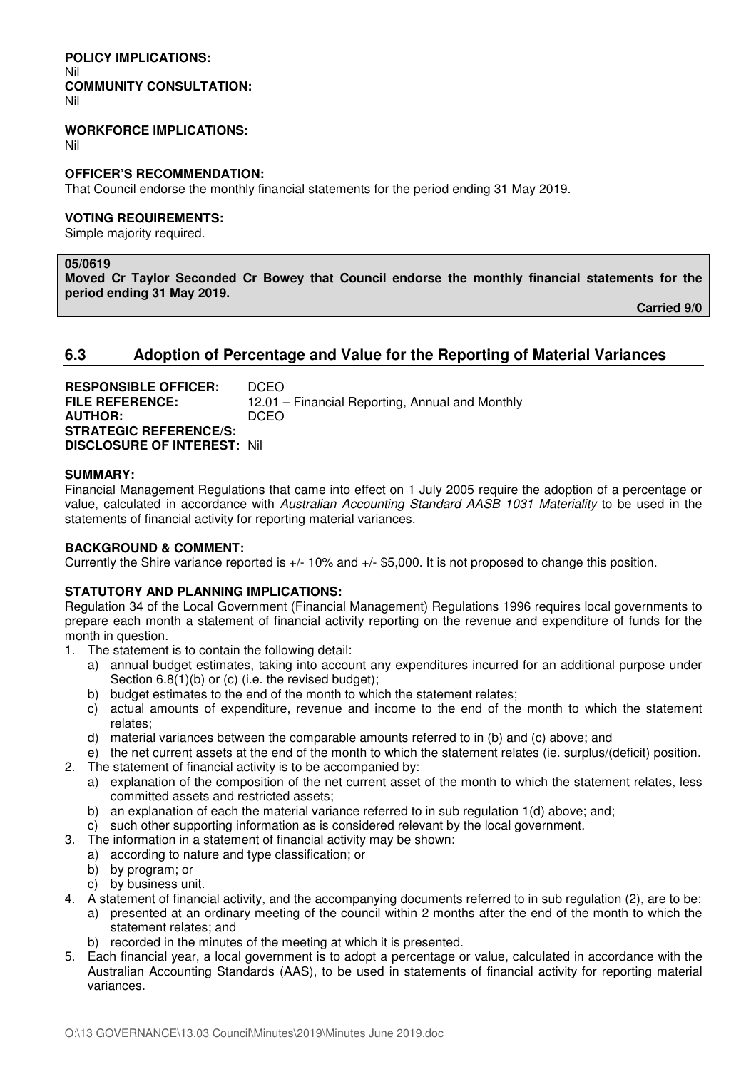#### **POLICY IMPLICATIONS:**  Nil **COMMUNITY CONSULTATION:**  Nil

## **WORKFORCE IMPLICATIONS:**

Nil

#### **OFFICER'S RECOMMENDATION:**

That Council endorse the monthly financial statements for the period ending 31 May 2019.

### **VOTING REQUIREMENTS:**

Simple majority required.

#### **05/0619**

**Moved Cr Taylor Seconded Cr Bowey that Council endorse the monthly financial statements for the period ending 31 May 2019.** 

 **Carried 9/0** 

# **6.3 Adoption of Percentage and Value for the Reporting of Material Variances**

| <b>RESPONSIBLE OFFICER:</b>        | DCEO.                                           |
|------------------------------------|-------------------------------------------------|
| <b>FILE REFERENCE:</b>             | 12.01 – Financial Reporting, Annual and Monthly |
| <b>AUTHOR:</b>                     | DCEO.                                           |
| <b>STRATEGIC REFERENCE/S:</b>      |                                                 |
| <b>DISCLOSURE OF INTEREST: Nil</b> |                                                 |

### **SUMMARY:**

Financial Management Regulations that came into effect on 1 July 2005 require the adoption of a percentage or value, calculated in accordance with *Australian Accounting Standard AASB 1031 Materiality* to be used in the statements of financial activity for reporting material variances.

## **BACKGROUND & COMMENT:**

Currently the Shire variance reported is +/- 10% and +/- \$5,000. It is not proposed to change this position.

## **STATUTORY AND PLANNING IMPLICATIONS:**

Regulation 34 of the Local Government (Financial Management) Regulations 1996 requires local governments to prepare each month a statement of financial activity reporting on the revenue and expenditure of funds for the month in question.

- 1. The statement is to contain the following detail:
	- a) annual budget estimates, taking into account any expenditures incurred for an additional purpose under Section 6.8(1)(b) or (c) (i.e. the revised budget);
	- b) budget estimates to the end of the month to which the statement relates;
	- c) actual amounts of expenditure, revenue and income to the end of the month to which the statement relates;
	- d) material variances between the comparable amounts referred to in (b) and (c) above; and
- e) the net current assets at the end of the month to which the statement relates (ie. surplus/(deficit) position. 2. The statement of financial activity is to be accompanied by:
	- a) explanation of the composition of the net current asset of the month to which the statement relates, less committed assets and restricted assets;
	- b) an explanation of each the material variance referred to in sub regulation 1(d) above; and;
	- c) such other supporting information as is considered relevant by the local government.
- 3. The information in a statement of financial activity may be shown:
	- a) according to nature and type classification; or
	- b) by program; or
	- c) by business unit.
- 4. A statement of financial activity, and the accompanying documents referred to in sub regulation (2), are to be:
	- a) presented at an ordinary meeting of the council within 2 months after the end of the month to which the statement relates; and
	- b) recorded in the minutes of the meeting at which it is presented.
- 5. Each financial year, a local government is to adopt a percentage or value, calculated in accordance with the Australian Accounting Standards (AAS), to be used in statements of financial activity for reporting material variances.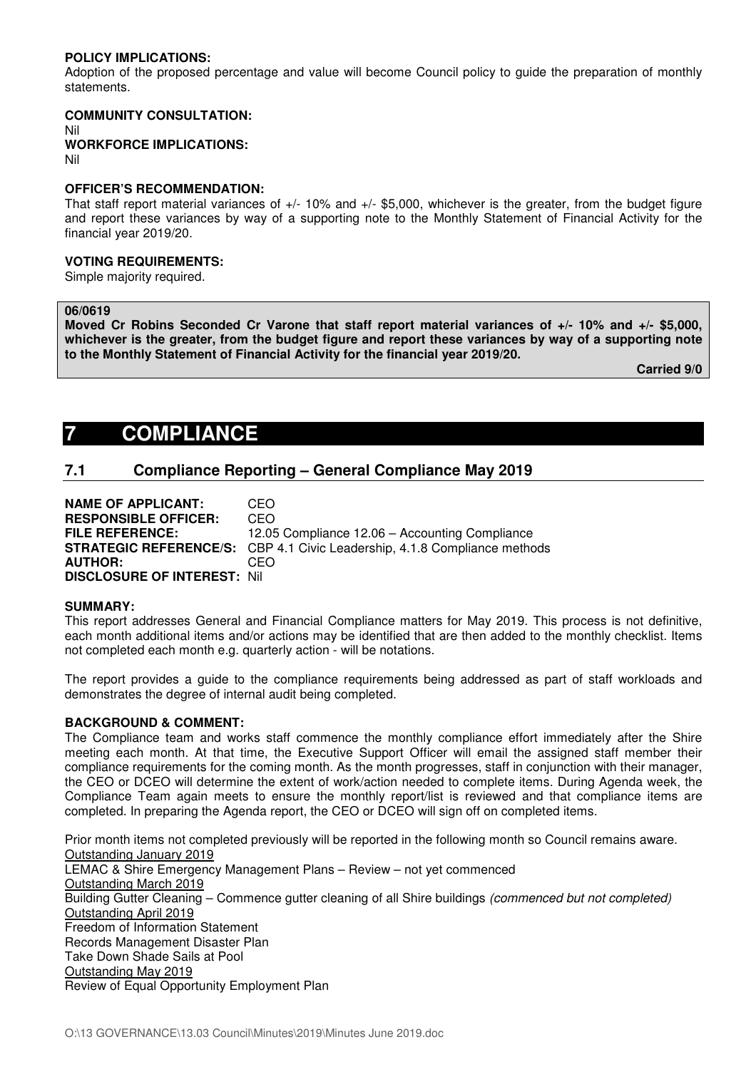## **POLICY IMPLICATIONS:**

Adoption of the proposed percentage and value will become Council policy to guide the preparation of monthly statements.

#### **COMMUNITY CONSULTATION:**

Nil **WORKFORCE IMPLICATIONS:** Nil

#### **OFFICER'S RECOMMENDATION:**

That staff report material variances of +/- 10% and +/- \$5,000, whichever is the greater, from the budget figure and report these variances by way of a supporting note to the Monthly Statement of Financial Activity for the financial year 2019/20.

#### **VOTING REQUIREMENTS:**

Simple majority required.

#### **06/0619**

**Moved Cr Robins Seconded Cr Varone that staff report material variances of +/- 10% and +/- \$5,000, whichever is the greater, from the budget figure and report these variances by way of a supporting note to the Monthly Statement of Financial Activity for the financial year 2019/20.** 

**Carried 9/0** 

# **7 COMPLIANCE**

# **7.1 Compliance Reporting – General Compliance May 2019**

**NAME OF APPLICANT:** CEO **RESPONSIBLE OFFICER:** CEO **FILE REFERENCE:** 12.05 Compliance 12.06 – Accounting Compliance **STRATEGIC REFERENCE/S:** CBP 4.1 Civic Leadership, 4.1.8 Compliance methods **AUTHOR:** CEO **DISCLOSURE OF INTEREST:** Nil

#### **SUMMARY:**

This report addresses General and Financial Compliance matters for May 2019. This process is not definitive, each month additional items and/or actions may be identified that are then added to the monthly checklist. Items not completed each month e.g. quarterly action - will be notations.

The report provides a guide to the compliance requirements being addressed as part of staff workloads and demonstrates the degree of internal audit being completed.

#### **BACKGROUND & COMMENT:**

The Compliance team and works staff commence the monthly compliance effort immediately after the Shire meeting each month. At that time, the Executive Support Officer will email the assigned staff member their compliance requirements for the coming month. As the month progresses, staff in conjunction with their manager, the CEO or DCEO will determine the extent of work/action needed to complete items. During Agenda week, the Compliance Team again meets to ensure the monthly report/list is reviewed and that compliance items are completed. In preparing the Agenda report, the CEO or DCEO will sign off on completed items.

Prior month items not completed previously will be reported in the following month so Council remains aware. Outstanding January 2019 LEMAC & Shire Emergency Management Plans – Review – not yet commenced Outstanding March 2019 Building Gutter Cleaning – Commence gutter cleaning of all Shire buildings *(commenced but not completed)* Outstanding April 2019 Freedom of Information Statement Records Management Disaster Plan Take Down Shade Sails at Pool Outstanding May 2019 Review of Equal Opportunity Employment Plan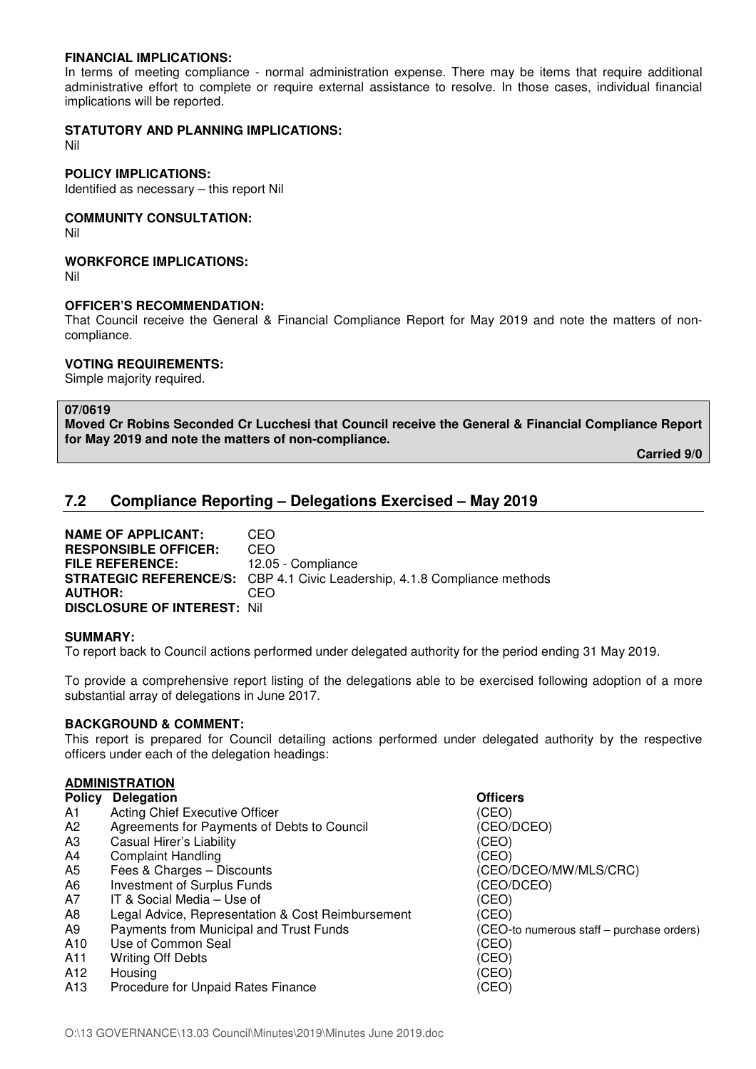#### **FINANCIAL IMPLICATIONS:**

In terms of meeting compliance - normal administration expense. There may be items that require additional administrative effort to complete or require external assistance to resolve. In those cases, individual financial implications will be reported.

#### **STATUTORY AND PLANNING IMPLICATIONS:**

Nil

## **POLICY IMPLICATIONS:**

Identified as necessary – this report Nil

# **COMMUNITY CONSULTATION:**

Nil

## **WORKFORCE IMPLICATIONS:**

Nil

### **OFFICER'S RECOMMENDATION:**

That Council receive the General & Financial Compliance Report for May 2019 and note the matters of noncompliance.

## **VOTING REQUIREMENTS:**

Simple majority required.

## **07/0619**

**Moved Cr Robins Seconded Cr Lucchesi that Council receive the General & Financial Compliance Report for May 2019 and note the matters of non-compliance.** 

**Carried 9/0** 

# **7.2 Compliance Reporting – Delegations Exercised – May 2019**

**NAME OF APPLICANT:** CEO **RESPONSIBLE OFFICER:** CEO **FILE REFERENCE:** 12.05 - Compliance **STRATEGIC REFERENCE/S:** CBP 4.1 Civic Leadership, 4.1.8 Compliance methods **AUTHOR:** CEO **DISCLOSURE OF INTEREST:** Nil

#### **SUMMARY:**

To report back to Council actions performed under delegated authority for the period ending 31 May 2019.

To provide a comprehensive report listing of the delegations able to be exercised following adoption of a more substantial array of delegations in June 2017.

#### **BACKGROUND & COMMENT:**

This report is prepared for Council detailing actions performed under delegated authority by the respective officers under each of the delegation headings:

## **ADMINISTRATION**

| <b>Policy</b>   | <b>Delegation</b>                                 | <b>Officers</b>                           |
|-----------------|---------------------------------------------------|-------------------------------------------|
| A1              | Acting Chief Executive Officer                    | (CEO)                                     |
| A2              | Agreements for Payments of Debts to Council       | (CEO/DCEO)                                |
| A3              | Casual Hirer's Liability                          | (CEO)                                     |
| A4              | <b>Complaint Handling</b>                         | (CEO)                                     |
| A <sub>5</sub>  | Fees & Charges - Discounts                        | (CEO/DCEO/MW/MLS/CRC)                     |
| A6              | Investment of Surplus Funds                       | (CEO/DCEO)                                |
| A7              | IT & Social Media - Use of                        | (CEO)                                     |
| A8              | Legal Advice, Representation & Cost Reimbursement | (CEO)                                     |
| A9              | Payments from Municipal and Trust Funds           | (CEO-to numerous staff - purchase orders) |
| A10             | Use of Common Seal                                | (CEO)                                     |
| A11             | <b>Writing Off Debts</b>                          | (CEO)                                     |
| A12             | Housing                                           | (CEO)                                     |
| A <sub>13</sub> | Procedure for Unpaid Rates Finance                | (CEO)                                     |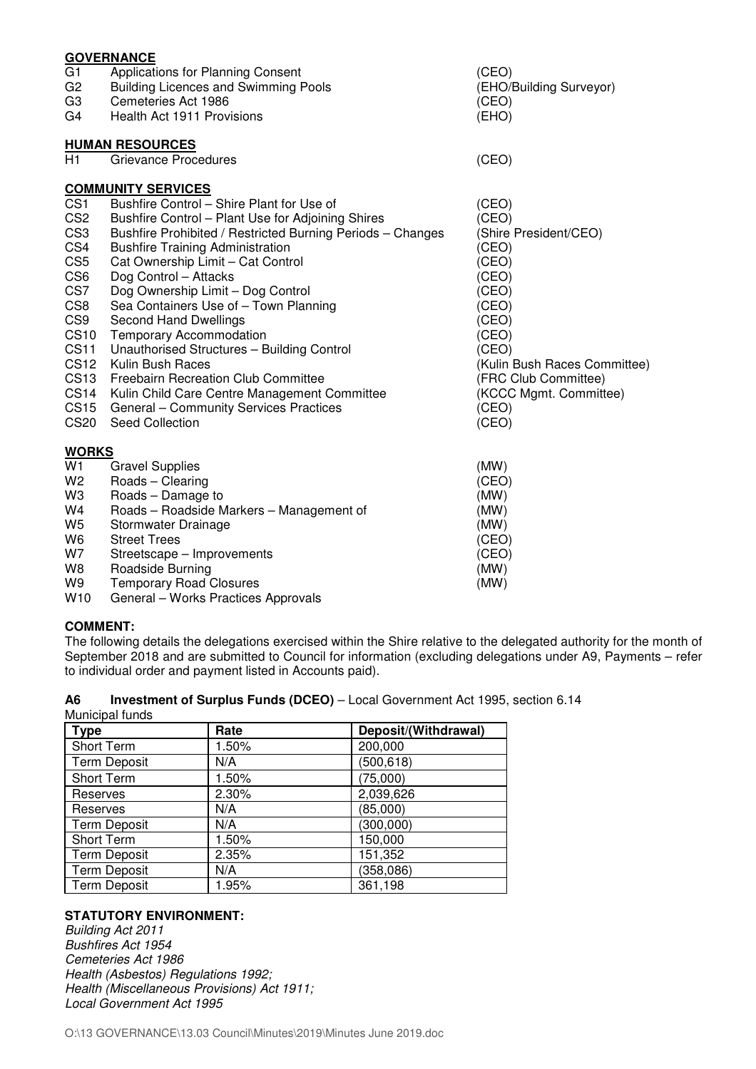|                            | <b>GOVERNANCE</b>                                              |                                       |
|----------------------------|----------------------------------------------------------------|---------------------------------------|
| G1                         | Applications for Planning Consent                              | (CEO)                                 |
| G <sub>2</sub>             | <b>Building Licences and Swimming Pools</b>                    | (EHO/Building Surveyor)               |
| G <sub>3</sub>             | Cemeteries Act 1986                                            | (CEO)                                 |
| G4                         | Health Act 1911 Provisions                                     | (EHO)                                 |
|                            | <b>HUMAN RESOURCES</b>                                         |                                       |
| H1                         | <b>Grievance Procedures</b>                                    | (CEO)                                 |
|                            | <b>COMMUNITY SERVICES</b>                                      |                                       |
| CS <sub>1</sub>            | Bushfire Control - Shire Plant for Use of                      | (CEO)                                 |
| CS <sub>2</sub>            | Bushfire Control - Plant Use for Adjoining Shires              | (CEO)                                 |
| CS <sub>3</sub>            | Bushfire Prohibited / Restricted Burning Periods - Changes     | (Shire President/CEO)                 |
| CS4                        | <b>Bushfire Training Administration</b>                        | (CEO)                                 |
| CS <sub>5</sub>            | Cat Ownership Limit - Cat Control                              | (CEO)                                 |
| CS <sub>6</sub>            | Dog Control - Attacks                                          | (CEO)                                 |
| CS7                        | Dog Ownership Limit - Dog Control                              | (CEO)                                 |
| CS8                        | Sea Containers Use of - Town Planning                          | (CEO)                                 |
| CS <sub>9</sub>            | Second Hand Dwellings                                          | (CEO)                                 |
| <b>CS10</b><br><b>CS11</b> | <b>Temporary Accommodation</b>                                 | (CEO)                                 |
| <b>CS12</b>                | Unauthorised Structures - Building Control<br>Kulin Bush Races | (CEO)<br>(Kulin Bush Races Committee) |
| CS <sub>13</sub>           | <b>Freebairn Recreation Club Committee</b>                     | (FRC Club Committee)                  |
| <b>CS14</b>                | Kulin Child Care Centre Management Committee                   | (KCCC Mgmt. Committee)                |
| <b>CS15</b>                | General - Community Services Practices                         | (CEO)                                 |
| <b>CS20</b>                | Seed Collection                                                | (CEO)                                 |
| <b>WORKS</b>               |                                                                |                                       |
| W1                         | <b>Gravel Supplies</b>                                         | (MW)                                  |
| W <sub>2</sub>             | Roads - Clearing                                               | (CEO)                                 |
| W3                         | Roads - Damage to                                              | (MW)                                  |
| W4                         | Roads - Roadside Markers - Management of                       | (MW)                                  |
| W <sub>5</sub>             | Stormwater Drainage                                            | (MW)                                  |
| W <sub>6</sub>             | <b>Street Trees</b>                                            | (CEO)                                 |
| W7                         | Streetscape - Improvements                                     | (CEO)                                 |
| W <sub>8</sub>             | Roadside Burning                                               | (MW)                                  |
| W9                         | <b>Temporary Road Closures</b>                                 | (MW)                                  |

W10 General – Works Practices Approvals

## **COMMENT:**

The following details the delegations exercised within the Shire relative to the delegated authority for the month of September 2018 and are submitted to Council for information (excluding delegations under A9, Payments – refer to individual order and payment listed in Accounts paid).

| A6              | Investment of Surplus Funds (DCEO) - Local Government Act 1995, section 6.14 |  |
|-----------------|------------------------------------------------------------------------------|--|
| Municinal funde |                                                                              |  |

| <b>Type</b>         | Rate  | Deposit/(Withdrawal) |
|---------------------|-------|----------------------|
| Short Term          | 1.50% | 200,000              |
| <b>Term Deposit</b> | N/A   | (500, 618)           |
| Short Term          | 1.50% | (75,000)             |
| Reserves            | 2.30% | 2,039,626            |
| Reserves            | N/A   | (85,000)             |
| <b>Term Deposit</b> | N/A   | (300, 000)           |
| Short Term          | 1.50% | 150,000              |
| <b>Term Deposit</b> | 2.35% | 151,352              |
| <b>Term Deposit</b> | N/A   | (358, 086)           |
| <b>Term Deposit</b> | 1.95% | 361,198              |

# **STATUTORY ENVIRONMENT:**

*Building Act 2011 Bushfires Act 1954 Cemeteries Act 1986 Health (Asbestos) Regulations 1992; Health (Miscellaneous Provisions) Act 1911; Local Government Act 1995*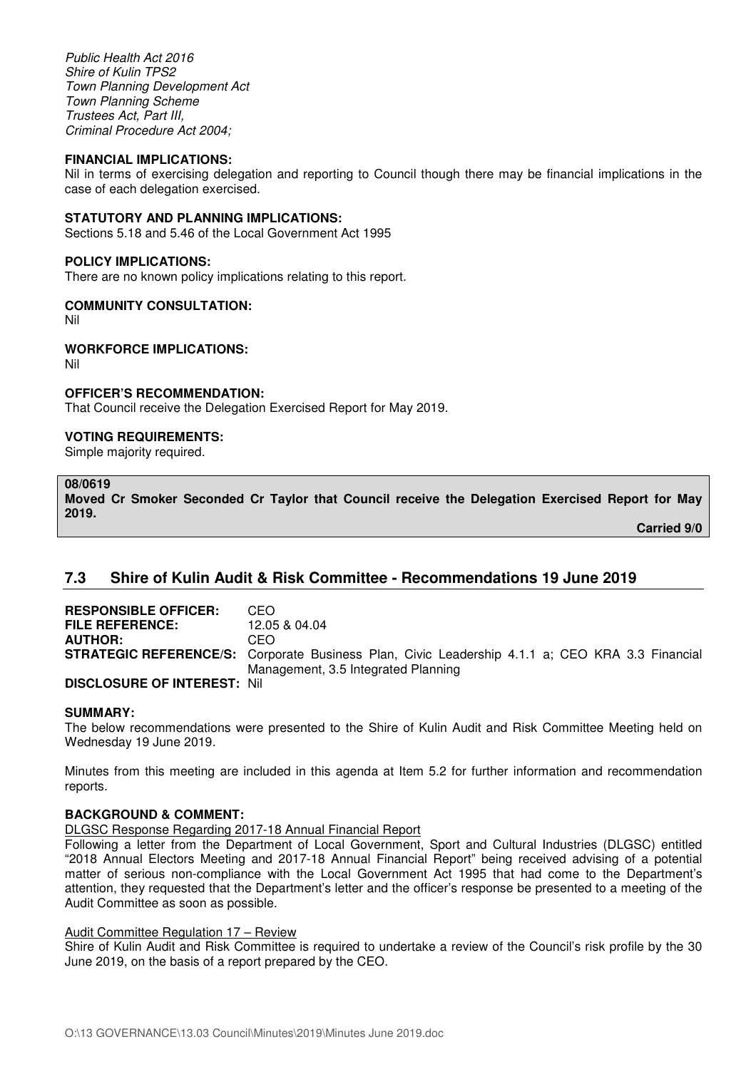*Public Health Act 2016 Shire of Kulin TPS2 Town Planning Development Act Town Planning Scheme Trustees Act, Part III, Criminal Procedure Act 2004;* 

#### **FINANCIAL IMPLICATIONS:**

Nil in terms of exercising delegation and reporting to Council though there may be financial implications in the case of each delegation exercised.

#### **STATUTORY AND PLANNING IMPLICATIONS:**

Sections 5.18 and 5.46 of the Local Government Act 1995

#### **POLICY IMPLICATIONS:**

There are no known policy implications relating to this report.

#### **COMMUNITY CONSULTATION:**

Nil

#### **WORKFORCE IMPLICATIONS:**

Nil

#### **OFFICER'S RECOMMENDATION:**

That Council receive the Delegation Exercised Report for May 2019.

#### **VOTING REQUIREMENTS:**

Simple majority required.

#### **08/0619**

**Moved Cr Smoker Seconded Cr Taylor that Council receive the Delegation Exercised Report for May 2019.** 

**Carried 9/0** 

## **7.3 Shire of Kulin Audit & Risk Committee - Recommendations 19 June 2019**

| <b>RESPONSIBLE OFFICER:</b>        | CEO                                                                                                    |
|------------------------------------|--------------------------------------------------------------------------------------------------------|
| <b>FILE REFERENCE:</b>             | 12.05 & 04.04                                                                                          |
| <b>AUTHOR:</b>                     | CEO                                                                                                    |
|                                    | <b>STRATEGIC REFERENCE/S:</b> Corporate Business Plan, Civic Leadership 4.1.1 a; CEO KRA 3.3 Financial |
|                                    | Management, 3.5 Integrated Planning                                                                    |
| <b>DISCLOSURE OF INTEREST: Nil</b> |                                                                                                        |

#### **SUMMARY:**

The below recommendations were presented to the Shire of Kulin Audit and Risk Committee Meeting held on Wednesday 19 June 2019.

Minutes from this meeting are included in this agenda at Item 5.2 for further information and recommendation reports.

#### **BACKGROUND & COMMENT:**

DLGSC Response Regarding 2017-18 Annual Financial Report

Following a letter from the Department of Local Government, Sport and Cultural Industries (DLGSC) entitled "2018 Annual Electors Meeting and 2017-18 Annual Financial Report" being received advising of a potential matter of serious non-compliance with the Local Government Act 1995 that had come to the Department's attention, they requested that the Department's letter and the officer's response be presented to a meeting of the Audit Committee as soon as possible.

#### Audit Committee Regulation 17 – Review

Shire of Kulin Audit and Risk Committee is required to undertake a review of the Council's risk profile by the 30 June 2019, on the basis of a report prepared by the CEO.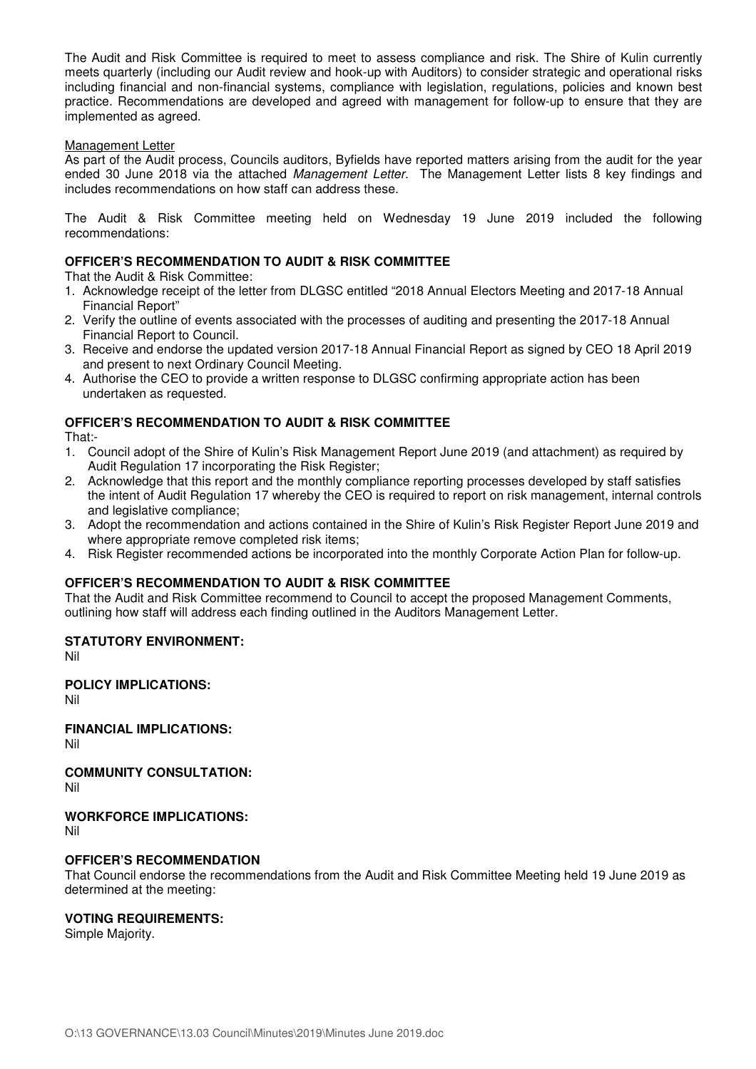The Audit and Risk Committee is required to meet to assess compliance and risk. The Shire of Kulin currently meets quarterly (including our Audit review and hook-up with Auditors) to consider strategic and operational risks including financial and non-financial systems, compliance with legislation, regulations, policies and known best practice. Recommendations are developed and agreed with management for follow-up to ensure that they are implemented as agreed.

#### Management Letter

As part of the Audit process, Councils auditors, Byfields have reported matters arising from the audit for the year ended 30 June 2018 via the attached *Management Letter.*The Management Letter lists 8 key findings and includes recommendations on how staff can address these.

The Audit & Risk Committee meeting held on Wednesday 19 June 2019 included the following recommendations:

## **OFFICER'S RECOMMENDATION TO AUDIT & RISK COMMITTEE**

That the Audit & Risk Committee:

- 1. Acknowledge receipt of the letter from DLGSC entitled "2018 Annual Electors Meeting and 2017-18 Annual Financial Report"
- 2. Verify the outline of events associated with the processes of auditing and presenting the 2017-18 Annual Financial Report to Council.
- 3. Receive and endorse the updated version 2017-18 Annual Financial Report as signed by CEO 18 April 2019 and present to next Ordinary Council Meeting.
- 4. Authorise the CEO to provide a written response to DLGSC confirming appropriate action has been undertaken as requested.

## **OFFICER'S RECOMMENDATION TO AUDIT & RISK COMMITTEE**

That:-

- 1. Council adopt of the Shire of Kulin's Risk Management Report June 2019 (and attachment) as required by Audit Regulation 17 incorporating the Risk Register:
- 2. Acknowledge that this report and the monthly compliance reporting processes developed by staff satisfies the intent of Audit Regulation 17 whereby the CEO is required to report on risk management, internal controls and legislative compliance;
- 3. Adopt the recommendation and actions contained in the Shire of Kulin's Risk Register Report June 2019 and where appropriate remove completed risk items;
- 4. Risk Register recommended actions be incorporated into the monthly Corporate Action Plan for follow-up.

## **OFFICER'S RECOMMENDATION TO AUDIT & RISK COMMITTEE**

That the Audit and Risk Committee recommend to Council to accept the proposed Management Comments, outlining how staff will address each finding outlined in the Auditors Management Letter.

## **STATUTORY ENVIRONMENT:**

Nil

## **POLICY IMPLICATIONS:**

Nil

**FINANCIAL IMPLICATIONS:**  Nil

**COMMUNITY CONSULTATION:** Nil

**WORKFORCE IMPLICATIONS:** 

Nil

#### **OFFICER'S RECOMMENDATION**

That Council endorse the recommendations from the Audit and Risk Committee Meeting held 19 June 2019 as determined at the meeting:

#### **VOTING REQUIREMENTS:**

Simple Majority.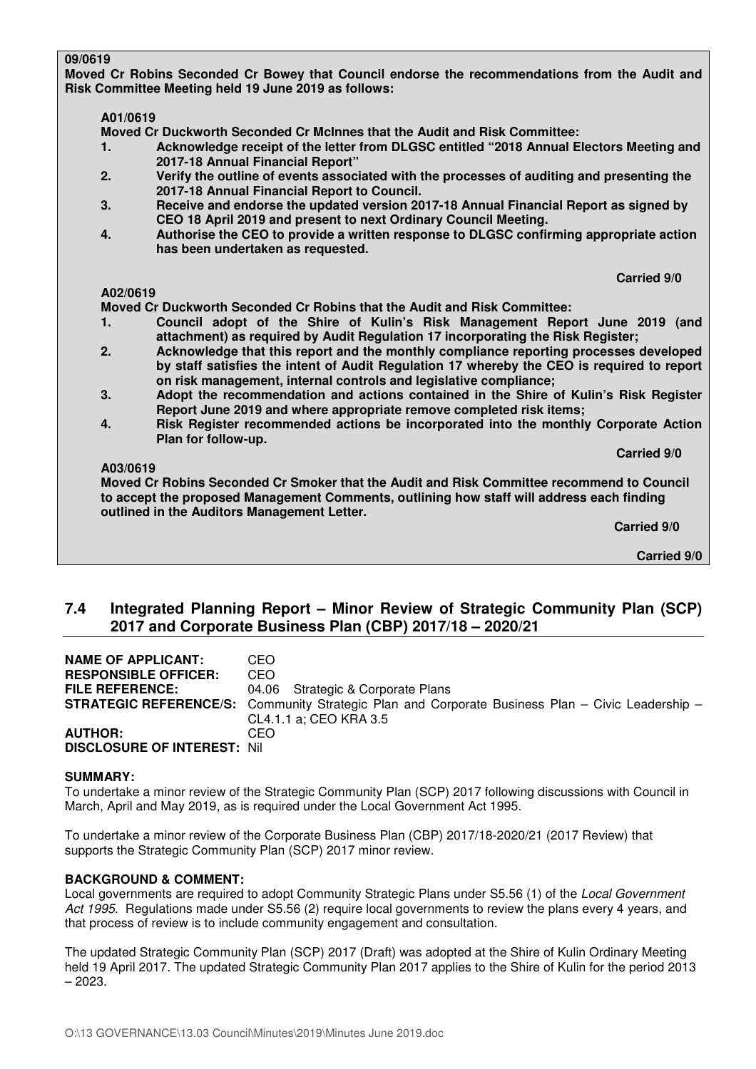### **09/0619**

**Moved Cr Robins Seconded Cr Bowey that Council endorse the recommendations from the Audit and Risk Committee Meeting held 19 June 2019 as follows:** 

## **A01/0619**

 **Moved Cr Duckworth Seconded Cr McInnes that the Audit and Risk Committee:** 

- **1. Acknowledge receipt of the letter from DLGSC entitled "2018 Annual Electors Meeting and 2017-18 Annual Financial Report"**
- **2. Verify the outline of events associated with the processes of auditing and presenting the 2017-18 Annual Financial Report to Council.**
- **3. Receive and endorse the updated version 2017-18 Annual Financial Report as signed by CEO 18 April 2019 and present to next Ordinary Council Meeting.**
- **4. Authorise the CEO to provide a written response to DLGSC confirming appropriate action has been undertaken as requested.**

 **Carried 9/0** 

## **A02/0619**

 **Moved Cr Duckworth Seconded Cr Robins that the Audit and Risk Committee:** 

- **1. Council adopt of the Shire of Kulin's Risk Management Report June 2019 (and attachment) as required by Audit Regulation 17 incorporating the Risk Register;**
- **2. Acknowledge that this report and the monthly compliance reporting processes developed by staff satisfies the intent of Audit Regulation 17 whereby the CEO is required to report on risk management, internal controls and legislative compliance;**
- **3. Adopt the recommendation and actions contained in the Shire of Kulin's Risk Register Report June 2019 and where appropriate remove completed risk items;**
- **4. Risk Register recommended actions be incorporated into the monthly Corporate Action Plan for follow-up.**

 **Carried 9/0** 

#### **A03/0619**

 **Moved Cr Robins Seconded Cr Smoker that the Audit and Risk Committee recommend to Council to accept the proposed Management Comments, outlining how staff will address each finding outlined in the Auditors Management Letter.** 

 **Carried 9/0** 

**Carried 9/0** 

# **7.4 Integrated Planning Report – Minor Review of Strategic Community Plan (SCP) 2017 and Corporate Business Plan (CBP) 2017/18 – 2020/21**

| <b>NAME OF APPLICANT:</b>           | CEO.                                                                                                    |
|-------------------------------------|---------------------------------------------------------------------------------------------------------|
| <b>RESPONSIBLE OFFICER:</b>         | CEO                                                                                                     |
| <b>FILE REFERENCE:</b>              | 04.06 Strategic & Corporate Plans                                                                       |
|                                     | <b>STRATEGIC REFERENCE/S:</b> Community Strategic Plan and Corporate Business Plan – Civic Leadership – |
|                                     | CL4.1.1 a: CEO KRA 3.5                                                                                  |
| <b>AUTHOR:</b>                      | CEO                                                                                                     |
| <b>DISCLOSURE OF INTEREST: Nill</b> |                                                                                                         |

#### **SUMMARY:**

To undertake a minor review of the Strategic Community Plan (SCP) 2017 following discussions with Council in March, April and May 2019, as is required under the Local Government Act 1995.

To undertake a minor review of the Corporate Business Plan (CBP) 2017/18-2020/21 (2017 Review) that supports the Strategic Community Plan (SCP) 2017 minor review.

#### **BACKGROUND & COMMENT:**

Local governments are required to adopt Community Strategic Plans under S5.56 (1) of the *Local Government Act 1995*. Regulations made under S5.56 (2) require local governments to review the plans every 4 years, and that process of review is to include community engagement and consultation.

The updated Strategic Community Plan (SCP) 2017 (Draft) was adopted at the Shire of Kulin Ordinary Meeting held 19 April 2017. The updated Strategic Community Plan 2017 applies to the Shire of Kulin for the period 2013 – 2023.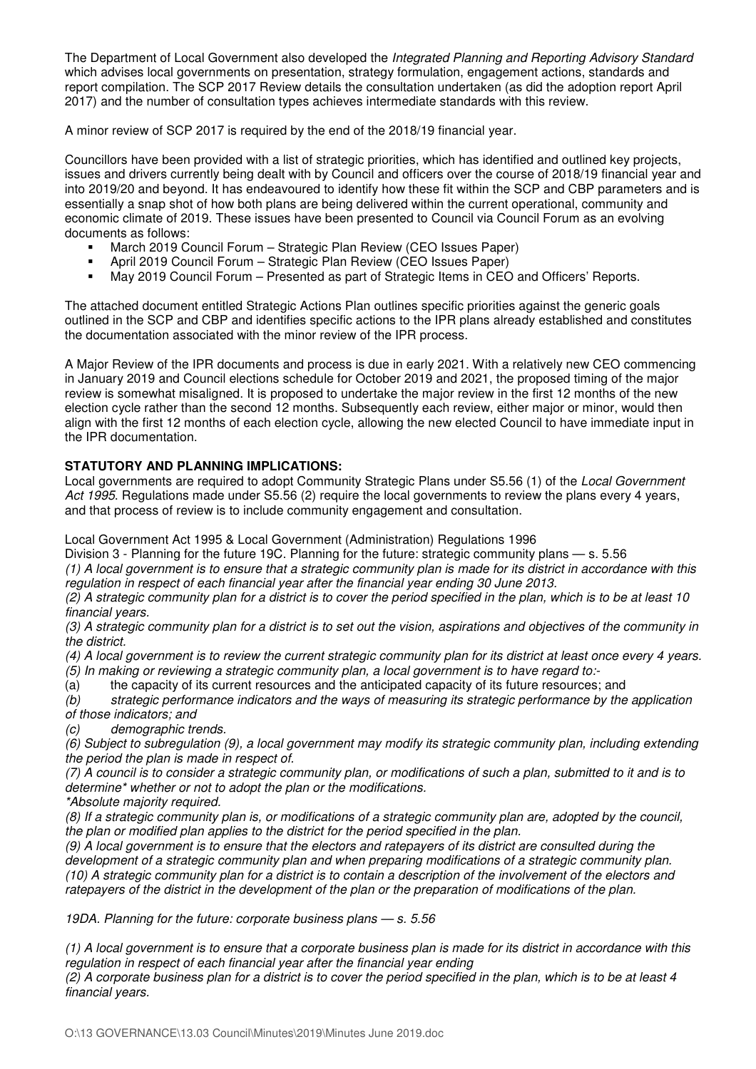The Department of Local Government also developed the *Integrated Planning and Reporting Advisory Standard* which advises local governments on presentation, strategy formulation, engagement actions, standards and report compilation. The SCP 2017 Review details the consultation undertaken (as did the adoption report April 2017) and the number of consultation types achieves intermediate standards with this review.

A minor review of SCP 2017 is required by the end of the 2018/19 financial year.

Councillors have been provided with a list of strategic priorities, which has identified and outlined key projects, issues and drivers currently being dealt with by Council and officers over the course of 2018/19 financial year and into 2019/20 and beyond. It has endeavoured to identify how these fit within the SCP and CBP parameters and is essentially a snap shot of how both plans are being delivered within the current operational, community and economic climate of 2019. These issues have been presented to Council via Council Forum as an evolving documents as follows:

- March 2019 Council Forum Strategic Plan Review (CEO Issues Paper)
- April 2019 Council Forum Strategic Plan Review (CEO Issues Paper)
- May 2019 Council Forum Presented as part of Strategic Items in CEO and Officers' Reports.

The attached document entitled Strategic Actions Plan outlines specific priorities against the generic goals outlined in the SCP and CBP and identifies specific actions to the IPR plans already established and constitutes the documentation associated with the minor review of the IPR process.

A Major Review of the IPR documents and process is due in early 2021. With a relatively new CEO commencing in January 2019 and Council elections schedule for October 2019 and 2021, the proposed timing of the major review is somewhat misaligned. It is proposed to undertake the major review in the first 12 months of the new election cycle rather than the second 12 months. Subsequently each review, either major or minor, would then align with the first 12 months of each election cycle, allowing the new elected Council to have immediate input in the IPR documentation.

# **STATUTORY AND PLANNING IMPLICATIONS:**

Local governments are required to adopt Community Strategic Plans under S5.56 (1) of the *Local Government Act 1995*. Regulations made under S5.56 (2) require the local governments to review the plans every 4 years, and that process of review is to include community engagement and consultation.

Local Government Act 1995 & Local Government (Administration) Regulations 1996

Division 3 - Planning for the future 19C. Planning for the future: strategic community plans — s. 5.56 *(1) A local government is to ensure that a strategic community plan is made for its district in accordance with this regulation in respect of each financial year after the financial year ending 30 June 2013.* 

*(2) A strategic community plan for a district is to cover the period specified in the plan, which is to be at least 10 financial years.* 

*(3) A strategic community plan for a district is to set out the vision, aspirations and objectives of the community in the district.* 

*(4) A local government is to review the current strategic community plan for its district at least once every 4 years.* 

*(5) In making or reviewing a strategic community plan, a local government is to have regard to:-* 

(a) the capacity of its current resources and the anticipated capacity of its future resources; and <br>(b) strategic performance indicators and the ways of measuring its strategic performance by the *(b) strategic performance indicators and the ways of measuring its strategic performance by the application of those indicators; and* 

*(c) demographic trends.* 

*(6) Subject to subregulation (9), a local government may modify its strategic community plan, including extending the period the plan is made in respect of.* 

*(7) A council is to consider a strategic community plan, or modifications of such a plan, submitted to it and is to determine\* whether or not to adopt the plan or the modifications.* 

*\*Absolute majority required.* 

*(8) If a strategic community plan is, or modifications of a strategic community plan are, adopted by the council, the plan or modified plan applies to the district for the period specified in the plan.* 

*(9) A local government is to ensure that the electors and ratepayers of its district are consulted during the development of a strategic community plan and when preparing modifications of a strategic community plan. (10) A strategic community plan for a district is to contain a description of the involvement of the electors and ratepayers of the district in the development of the plan or the preparation of modifications of the plan.* 

*19DA. Planning for the future: corporate business plans — s. 5.56* 

*(1) A local government is to ensure that a corporate business plan is made for its district in accordance with this*  regulation in respect of each financial year after the financial year ending

*(2) A corporate business plan for a district is to cover the period specified in the plan, which is to be at least 4 financial years.*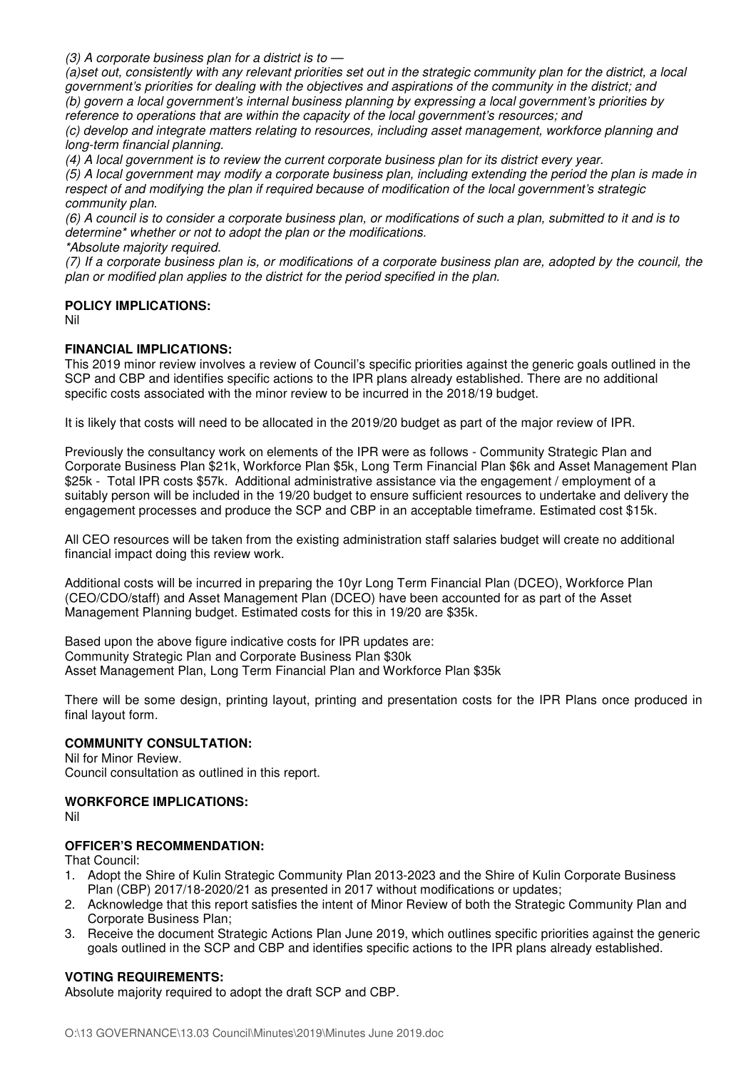*(3) A corporate business plan for a district is to —* 

*(a)set out, consistently with any relevant priorities set out in the strategic community plan for the district, a local government's priorities for dealing with the objectives and aspirations of the community in the district; and (b) govern a local government's internal business planning by expressing a local government's priorities by reference to operations that are within the capacity of the local government's resources; and* 

*(c) develop and integrate matters relating to resources, including asset management, workforce planning and long-term financial planning.* 

*(4) A local government is to review the current corporate business plan for its district every year.* 

*(5) A local government may modify a corporate business plan, including extending the period the plan is made in respect of and modifying the plan if required because of modification of the local government's strategic community plan.* 

*(6) A council is to consider a corporate business plan, or modifications of such a plan, submitted to it and is to determine\* whether or not to adopt the plan or the modifications.* 

*\*Absolute majority required.* 

*(7) If a corporate business plan is, or modifications of a corporate business plan are, adopted by the council, the plan or modified plan applies to the district for the period specified in the plan.*

### **POLICY IMPLICATIONS:**

Nil

### **FINANCIAL IMPLICATIONS:**

This 2019 minor review involves a review of Council's specific priorities against the generic goals outlined in the SCP and CBP and identifies specific actions to the IPR plans already established. There are no additional specific costs associated with the minor review to be incurred in the 2018/19 budget.

It is likely that costs will need to be allocated in the 2019/20 budget as part of the major review of IPR.

Previously the consultancy work on elements of the IPR were as follows - Community Strategic Plan and Corporate Business Plan \$21k, Workforce Plan \$5k, Long Term Financial Plan \$6k and Asset Management Plan \$25k - Total IPR costs \$57k. Additional administrative assistance via the engagement / employment of a suitably person will be included in the 19/20 budget to ensure sufficient resources to undertake and delivery the engagement processes and produce the SCP and CBP in an acceptable timeframe. Estimated cost \$15k.

All CEO resources will be taken from the existing administration staff salaries budget will create no additional financial impact doing this review work.

Additional costs will be incurred in preparing the 10yr Long Term Financial Plan (DCEO), Workforce Plan (CEO/CDO/staff) and Asset Management Plan (DCEO) have been accounted for as part of the Asset Management Planning budget. Estimated costs for this in 19/20 are \$35k.

Based upon the above figure indicative costs for IPR updates are: Community Strategic Plan and Corporate Business Plan \$30k Asset Management Plan, Long Term Financial Plan and Workforce Plan \$35k

There will be some design, printing layout, printing and presentation costs for the IPR Plans once produced in final layout form.

## **COMMUNITY CONSULTATION:**

Nil for Minor Review. Council consultation as outlined in this report.

## **WORKFORCE IMPLICATIONS:**

Nil

## **OFFICER'S RECOMMENDATION:**

That Council:

- 1. Adopt the Shire of Kulin Strategic Community Plan 2013-2023 and the Shire of Kulin Corporate Business Plan (CBP) 2017/18-2020/21 as presented in 2017 without modifications or updates;
- 2. Acknowledge that this report satisfies the intent of Minor Review of both the Strategic Community Plan and Corporate Business Plan;
- 3. Receive the document Strategic Actions Plan June 2019, which outlines specific priorities against the generic goals outlined in the SCP and CBP and identifies specific actions to the IPR plans already established.

## **VOTING REQUIREMENTS:**

Absolute majority required to adopt the draft SCP and CBP.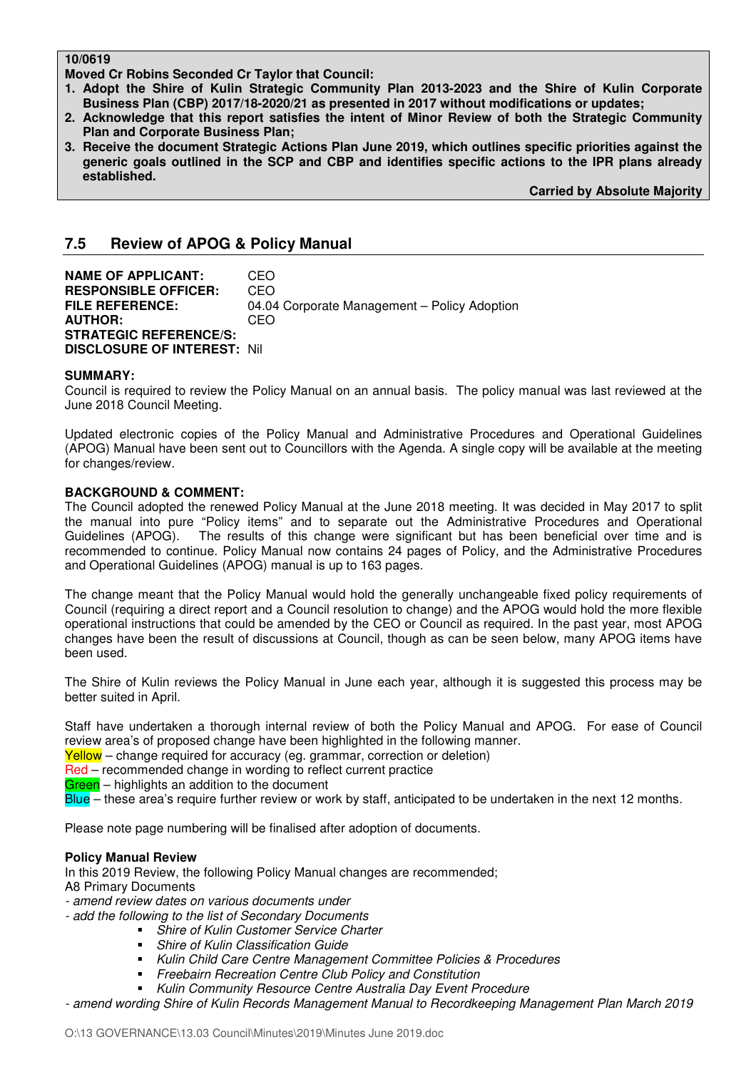### **10/0619**

**Moved Cr Robins Seconded Cr Taylor that Council:** 

- **1. Adopt the Shire of Kulin Strategic Community Plan 2013-2023 and the Shire of Kulin Corporate Business Plan (CBP) 2017/18-2020/21 as presented in 2017 without modifications or updates;**
- **2. Acknowledge that this report satisfies the intent of Minor Review of both the Strategic Community Plan and Corporate Business Plan;**
- **3. Receive the document Strategic Actions Plan June 2019, which outlines specific priorities against the generic goals outlined in the SCP and CBP and identifies specific actions to the IPR plans already established.**

**Carried by Absolute Majority** 

# **7.5 Review of APOG & Policy Manual**

**NAME OF APPLICANT:** CEO **RESPONSIBLE OFFICER:** CEO **FILE REFERENCE:** 04.04 Corporate Management – Policy Adoption **AUTHOR:** CEO **STRATEGIC REFERENCE/S: DISCLOSURE OF INTEREST:** Nil

### **SUMMARY:**

Council is required to review the Policy Manual on an annual basis. The policy manual was last reviewed at the June 2018 Council Meeting.

Updated electronic copies of the Policy Manual and Administrative Procedures and Operational Guidelines (APOG) Manual have been sent out to Councillors with the Agenda. A single copy will be available at the meeting for changes/review.

### **BACKGROUND & COMMENT:**

The Council adopted the renewed Policy Manual at the June 2018 meeting. It was decided in May 2017 to split the manual into pure "Policy items" and to separate out the Administrative Procedures and Operational Guidelines (APOG). The results of this change were significant but has been beneficial over time and is recommended to continue. Policy Manual now contains 24 pages of Policy, and the Administrative Procedures and Operational Guidelines (APOG) manual is up to 163 pages.

The change meant that the Policy Manual would hold the generally unchangeable fixed policy requirements of Council (requiring a direct report and a Council resolution to change) and the APOG would hold the more flexible operational instructions that could be amended by the CEO or Council as required. In the past year, most APOG changes have been the result of discussions at Council, though as can be seen below, many APOG items have been used.

The Shire of Kulin reviews the Policy Manual in June each year, although it is suggested this process may be better suited in April.

Staff have undertaken a thorough internal review of both the Policy Manual and APOG. For ease of Council review area's of proposed change have been highlighted in the following manner.

Yellow – change required for accuracy (eg. grammar, correction or deletion)

Red – recommended change in wording to reflect current practice

Green - highlights an addition to the document

Blue – these area's require further review or work by staff, anticipated to be undertaken in the next 12 months.

Please note page numbering will be finalised after adoption of documents.

#### **Policy Manual Review**

In this 2019 Review, the following Policy Manual changes are recommended; A8 Primary Documents

- *amend review dates on various documents under*
- *add the following to the list of Secondary Documents* 
	- *Shire of Kulin Customer Service Charter* 
		- *Shire of Kulin Classification Guide*
		- *Kulin Child Care Centre Management Committee Policies & Procedures*
		- *Freebairn Recreation Centre Club Policy and Constitution*
	- *Kulin Community Resource Centre Australia Day Event Procedure*

*- amend wording Shire of Kulin Records Management Manual to Recordkeeping Management Plan March 2019*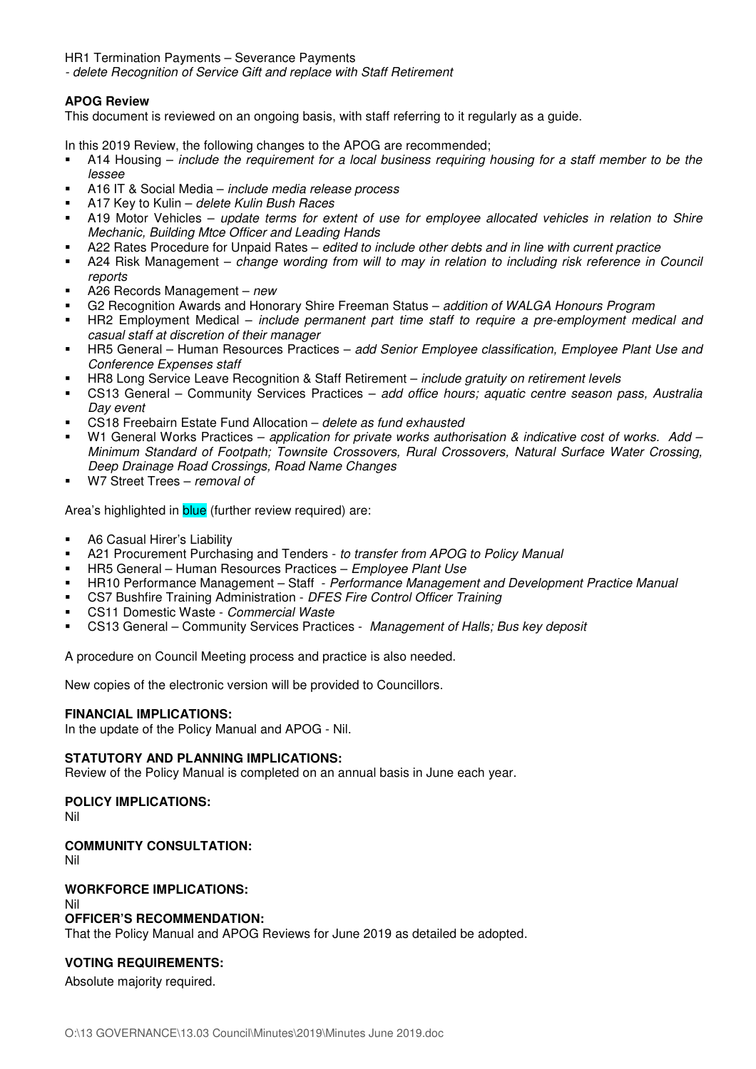HR1 Termination Payments – Severance Payments

*- delete Recognition of Service Gift and replace with Staff Retirement* 

# **APOG Review**

This document is reviewed on an ongoing basis, with staff referring to it regularly as a guide.

In this 2019 Review, the following changes to the APOG are recommended;

- A14 Housing *include the requirement for a local business requiring housing for a staff member to be the lessee*
- A16 IT & Social Media *include media release process*
- A17 Key to Kulin *delete Kulin Bush Races*
- A19 Motor Vehicles *update terms for extent of use for employee allocated vehicles in relation to Shire Mechanic, Building Mtce Officer and Leading Hands*
- A22 Rates Procedure for Unpaid Rates *edited to include other debts and in line with current practice*
- A24 Risk Management *change wording from will to may in relation to including risk reference in Council reports*
- A26 Records Management *new*
- G2 Recognition Awards and Honorary Shire Freeman Status *addition of WALGA Honours Program*
- HR2 Employment Medical *include permanent part time staff to require a pre-employment medical and casual staff at discretion of their manager*
- HR5 General Human Resources Practices *add Senior Employee classification, Employee Plant Use and Conference Expenses staff*
- HR8 Long Service Leave Recognition & Staff Retirement *include gratuity on retirement levels*
- CS13 General Community Services Practices *add office hours; aquatic centre season pass, Australia Day event*
- CS18 Freebairn Estate Fund Allocation *delete as fund exhausted*
- W1 General Works Practices *application for private works authorisation & indicative cost of works. Add Minimum Standard of Footpath; Townsite Crossovers, Rural Crossovers, Natural Surface Water Crossing, Deep Drainage Road Crossings, Road Name Changes*
- W7 Street Trees *removal of*

Area's highlighted in **blue** (further review required) are:

- A6 Casual Hirer's Liability
- A21 Procurement Purchasing and Tenders *to transfer from APOG to Policy Manual*
- HR5 General Human Resources Practices *Employee Plant Use*
- HR10 Performance Management Staff *Performance Management and Development Practice Manual*
- CS7 Bushfire Training Administration *DFES Fire Control Officer Training*
- CS11 Domestic Waste *Commercial Waste*
- CS13 General Community Services Practices *Management of Halls; Bus key deposit*

A procedure on Council Meeting process and practice is also needed.

New copies of the electronic version will be provided to Councillors.

## **FINANCIAL IMPLICATIONS:**

In the update of the Policy Manual and APOG - Nil.

## **STATUTORY AND PLANNING IMPLICATIONS:**

Review of the Policy Manual is completed on an annual basis in June each year.

## **POLICY IMPLICATIONS:**

Nil

## **COMMUNITY CONSULTATION:**

Nil

## **WORKFORCE IMPLICATIONS:**

Nil

#### **OFFICER'S RECOMMENDATION:**

That the Policy Manual and APOG Reviews for June 2019 as detailed be adopted.

## **VOTING REQUIREMENTS:**

Absolute majority required.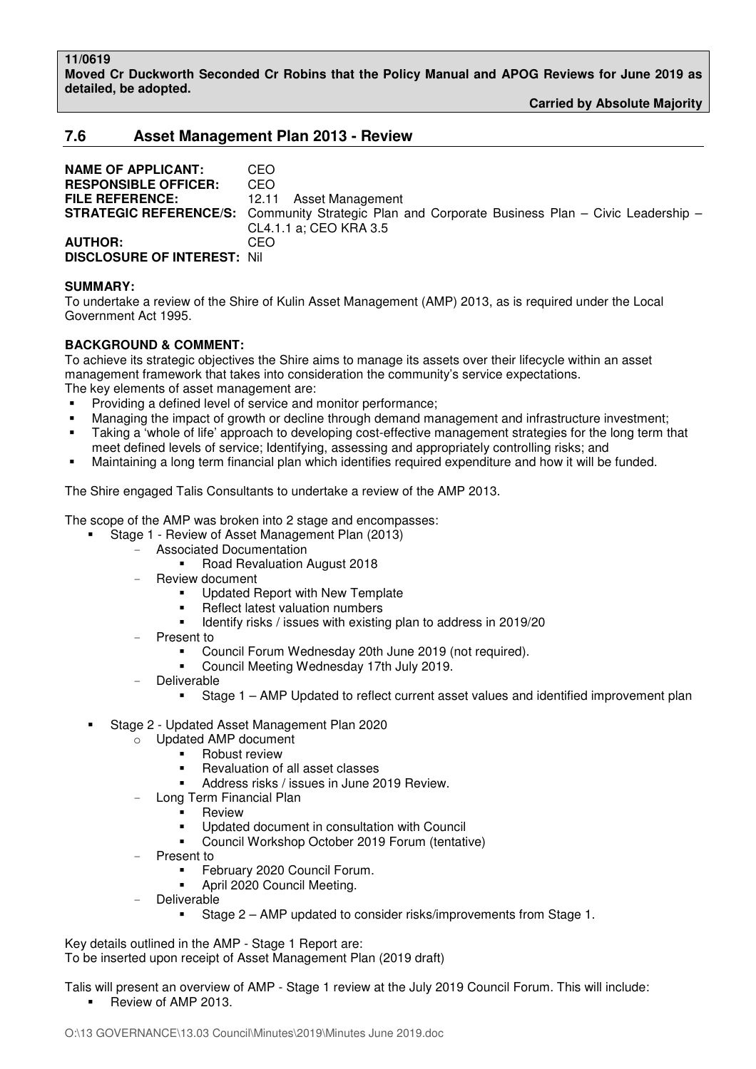**11/0619 Moved Cr Duckworth Seconded Cr Robins that the Policy Manual and APOG Reviews for June 2019 as detailed, be adopted.** 

**Carried by Absolute Majority** 

# **7.6 Asset Management Plan 2013 - Review**

**NAME OF APPLICANT:** CEO **RESPONSIBLE OFFICER:** CEO **FILE REFERENCE:** 12.11 Asset Management **STRATEGIC REFERENCE/S:** Community Strategic Plan and Corporate Business Plan – Civic Leadership – CL4.1.1 a; CEO KRA 3.5 **AUTHOR:** CEO **DISCLOSURE OF INTEREST:** Nil

### **SUMMARY:**

To undertake a review of the Shire of Kulin Asset Management (AMP) 2013, as is required under the Local Government Act 1995.

# **BACKGROUND & COMMENT:**

To achieve its strategic objectives the Shire aims to manage its assets over their lifecycle within an asset management framework that takes into consideration the community's service expectations. The key elements of asset management are:

- Providing a defined level of service and monitor performance;
- Managing the impact of growth or decline through demand management and infrastructure investment;
- Taking a 'whole of life' approach to developing cost-effective management strategies for the long term that meet defined levels of service; Identifying, assessing and appropriately controlling risks; and
- Maintaining a long term financial plan which identifies required expenditure and how it will be funded.

The Shire engaged Talis Consultants to undertake a review of the AMP 2013.

The scope of the AMP was broken into 2 stage and encompasses:

- Stage 1 Review of Asset Management Plan (2013)
	- Associated Documentation
		- Road Revaluation August 2018
		- Review document
			- Updated Report with New Template
			- Reflect latest valuation numbers
			- **IDENTIFY 4.5 IDENTIFY 12.5 IDENTIFY 12.5 IDENTIFY 12.5 IDENTIFY 12.6 IDENTIFY 12.6 IDENTIFY 12.6 IDENTIFY 12.6 IDENTIFY 12.6 IDENTIFY 12.6 IDENTIFY 12.6 IDENTIFY 12.6 IDENTIFY 12.6 IDENTIFY 12.6 IDENTIFY 12.6 IDENTIFY 12.**
	- Present to
		- Council Forum Wednesday 20th June 2019 (not required).
		- Council Meeting Wednesday 17th July 2019.
	- **Deliverable** 
		- Stage 1 AMP Updated to reflect current asset values and identified improvement plan
- Stage 2 Updated Asset Management Plan 2020
	- o Updated AMP document
		- Robust review
		- Revaluation of all asset classes
		- Address risks / issues in June 2019 Review.
		- Long Term Financial Plan
			- Review
				- Updated document in consultation with Council
				- Council Workshop October 2019 Forum (tentative)
	- Present to
		- February 2020 Council Forum.
		- April 2020 Council Meeting.
	- **Deliverable** 
		- Stage 2 AMP updated to consider risks/improvements from Stage 1.

Key details outlined in the AMP - Stage 1 Report are: To be inserted upon receipt of Asset Management Plan (2019 draft)

Talis will present an overview of AMP - Stage 1 review at the July 2019 Council Forum. This will include: Review of AMP 2013.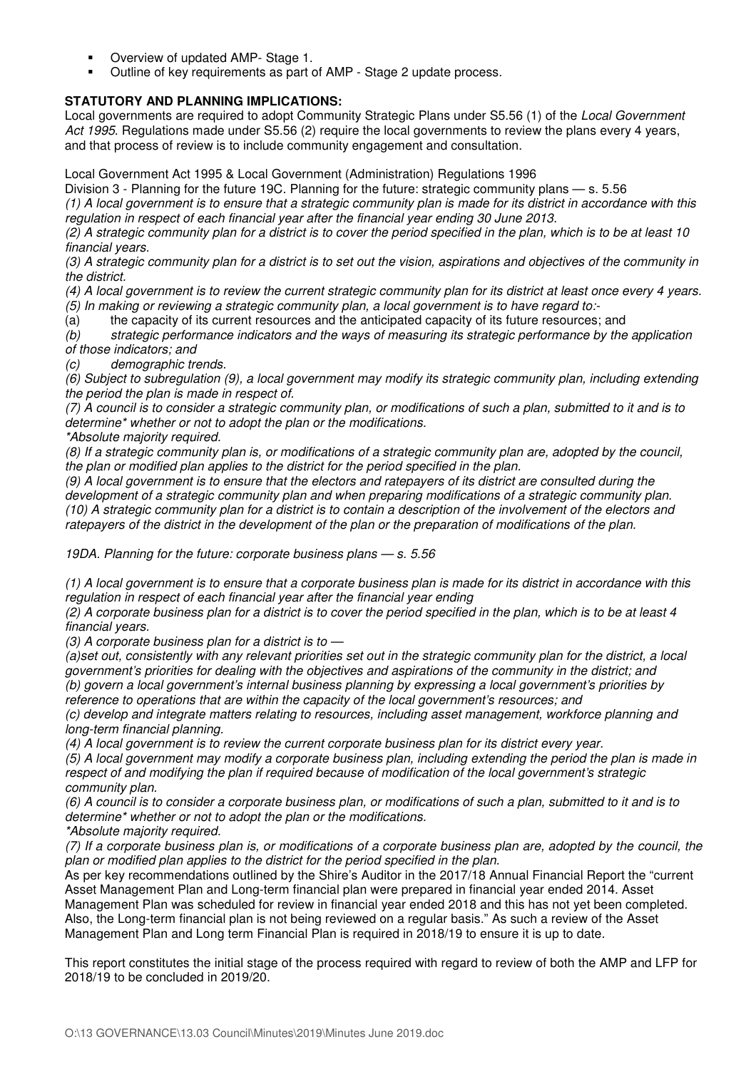- Overview of updated AMP- Stage 1.
- Outline of key requirements as part of AMP Stage 2 update process.

# **STATUTORY AND PLANNING IMPLICATIONS:**

Local governments are required to adopt Community Strategic Plans under S5.56 (1) of the *Local Government Act 1995*. Regulations made under S5.56 (2) require the local governments to review the plans every 4 years, and that process of review is to include community engagement and consultation.

Local Government Act 1995 & Local Government (Administration) Regulations 1996

Division 3 - Planning for the future 19C. Planning for the future: strategic community plans — s. 5.56 *(1) A local government is to ensure that a strategic community plan is made for its district in accordance with this regulation in respect of each financial year after the financial year ending 30 June 2013.* 

*(2) A strategic community plan for a district is to cover the period specified in the plan, which is to be at least 10 financial years.* 

*(3) A strategic community plan for a district is to set out the vision, aspirations and objectives of the community in the district.* 

*(4) A local government is to review the current strategic community plan for its district at least once every 4 years.* 

*(5) In making or reviewing a strategic community plan, a local government is to have regard to:-* 

(a) the capacity of its current resources and the anticipated capacity of its future resources; and

*(b) strategic performance indicators and the ways of measuring its strategic performance by the application of those indicators; and* 

*(c) demographic trends.* 

*(6) Subject to subregulation (9), a local government may modify its strategic community plan, including extending the period the plan is made in respect of.* 

*(7) A council is to consider a strategic community plan, or modifications of such a plan, submitted to it and is to determine\* whether or not to adopt the plan or the modifications.* 

*\*Absolute majority required.* 

*(8) If a strategic community plan is, or modifications of a strategic community plan are, adopted by the council, the plan or modified plan applies to the district for the period specified in the plan.* 

*(9) A local government is to ensure that the electors and ratepayers of its district are consulted during the development of a strategic community plan and when preparing modifications of a strategic community plan. (10) A strategic community plan for a district is to contain a description of the involvement of the electors and ratepayers of the district in the development of the plan or the preparation of modifications of the plan.* 

*19DA. Planning for the future: corporate business plans — s. 5.56* 

*(1) A local government is to ensure that a corporate business plan is made for its district in accordance with this regulation in respect of each financial year after the financial year ending* 

*(2) A corporate business plan for a district is to cover the period specified in the plan, which is to be at least 4 financial years.* 

*(3) A corporate business plan for a district is to —* 

*(a)set out, consistently with any relevant priorities set out in the strategic community plan for the district, a local government's priorities for dealing with the objectives and aspirations of the community in the district; and (b) govern a local government's internal business planning by expressing a local government's priorities by reference to operations that are within the capacity of the local government's resources; and* 

*(c) develop and integrate matters relating to resources, including asset management, workforce planning and long-term financial planning.* 

*(4) A local government is to review the current corporate business plan for its district every year.* 

*(5) A local government may modify a corporate business plan, including extending the period the plan is made in respect of and modifying the plan if required because of modification of the local government's strategic community plan.* 

*(6) A council is to consider a corporate business plan, or modifications of such a plan, submitted to it and is to determine\* whether or not to adopt the plan or the modifications.* 

*\*Absolute majority required.* 

*(7) If a corporate business plan is, or modifications of a corporate business plan are, adopted by the council, the plan or modified plan applies to the district for the period specified in the plan.* 

As per key recommendations outlined by the Shire's Auditor in the 2017/18 Annual Financial Report the "current Asset Management Plan and Long-term financial plan were prepared in financial year ended 2014. Asset Management Plan was scheduled for review in financial year ended 2018 and this has not yet been completed. Also, the Long-term financial plan is not being reviewed on a regular basis." As such a review of the Asset Management Plan and Long term Financial Plan is required in 2018/19 to ensure it is up to date.

This report constitutes the initial stage of the process required with regard to review of both the AMP and LFP for 2018/19 to be concluded in 2019/20.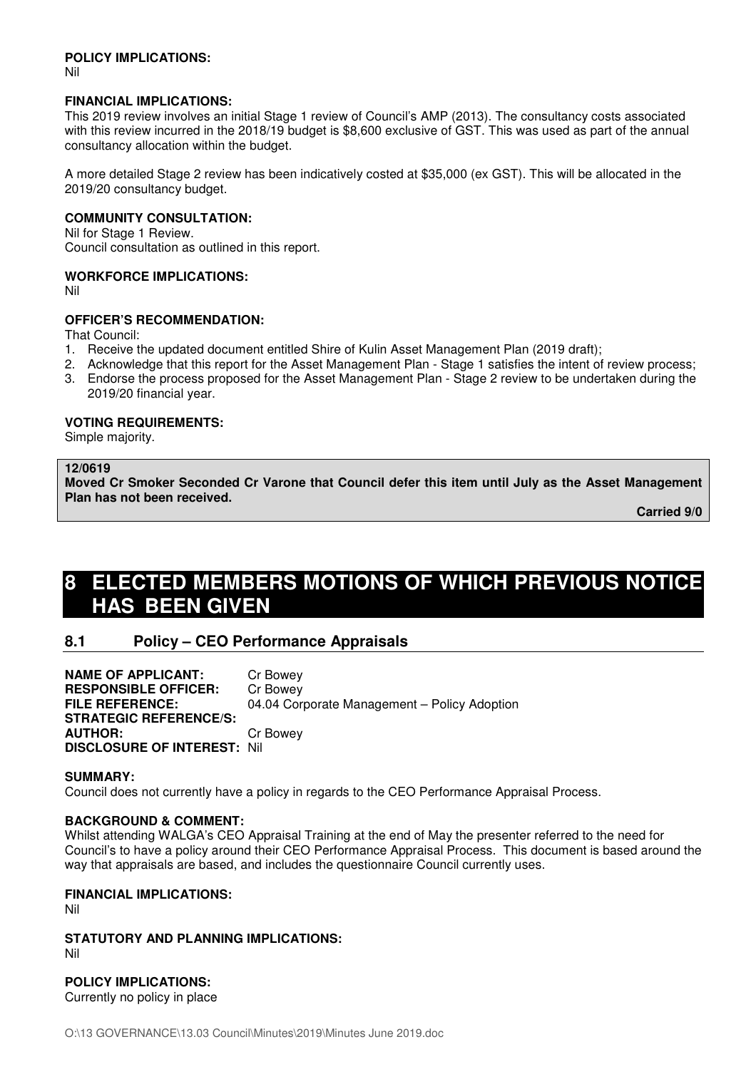#### **POLICY IMPLICATIONS:**

Nil

#### **FINANCIAL IMPLICATIONS:**

This 2019 review involves an initial Stage 1 review of Council's AMP (2013). The consultancy costs associated with this review incurred in the 2018/19 budget is \$8,600 exclusive of GST. This was used as part of the annual consultancy allocation within the budget.

A more detailed Stage 2 review has been indicatively costed at \$35,000 (ex GST). This will be allocated in the 2019/20 consultancy budget.

### **COMMUNITY CONSULTATION:**

Nil for Stage 1 Review. Council consultation as outlined in this report.

### **WORKFORCE IMPLICATIONS:**

Nil

## **OFFICER'S RECOMMENDATION:**

That Council:

- 1. Receive the updated document entitled Shire of Kulin Asset Management Plan (2019 draft);
- 2. Acknowledge that this report for the Asset Management Plan Stage 1 satisfies the intent of review process; 3. Endorse the process proposed for the Asset Management Plan - Stage 2 review to be undertaken during the
- 2019/20 financial year.

### **VOTING REQUIREMENTS:**

Simple majority.

## **12/0619**

**Moved Cr Smoker Seconded Cr Varone that Council defer this item until July as the Asset Management Plan has not been received.** 

**Carried 9/0** 

# **8 ELECTED MEMBERS MOTIONS OF WHICH PREVIOUS NOTICE HAS BEEN GIVEN**

# **8.1 Policy – CEO Performance Appraisals**

**NAME OF APPLICANT:** Cr Bowey **RESPONSIBLE OFFICER:** Cr Bowey **FILE REFERENCE:** 04.04 Corporate Management – Policy Adoption **STRATEGIC REFERENCE/S: AUTHOR:** Cr Bowey **DISCLOSURE OF INTEREST:** Nil

#### **SUMMARY:**

Council does not currently have a policy in regards to the CEO Performance Appraisal Process.

## **BACKGROUND & COMMENT:**

Whilst attending WALGA's CEO Appraisal Training at the end of May the presenter referred to the need for Council's to have a policy around their CEO Performance Appraisal Process. This document is based around the way that appraisals are based, and includes the questionnaire Council currently uses.

## **FINANCIAL IMPLICATIONS:**

Nil

**STATUTORY AND PLANNING IMPLICATIONS:**  Nil

# **POLICY IMPLICATIONS:**

Currently no policy in place